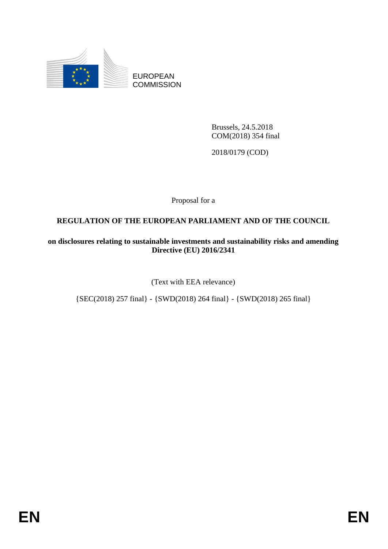

EUROPEAN **COMMISSION** 

> Brussels, 24.5.2018 COM(2018) 354 final

2018/0179 (COD)

Proposal for a

# **REGULATION OF THE EUROPEAN PARLIAMENT AND OF THE COUNCIL**

**on disclosures relating to sustainable investments and sustainability risks and amending Directive (EU) 2016/2341**

(Text with EEA relevance)

{SEC(2018) 257 final} - {SWD(2018) 264 final} - {SWD(2018) 265 final}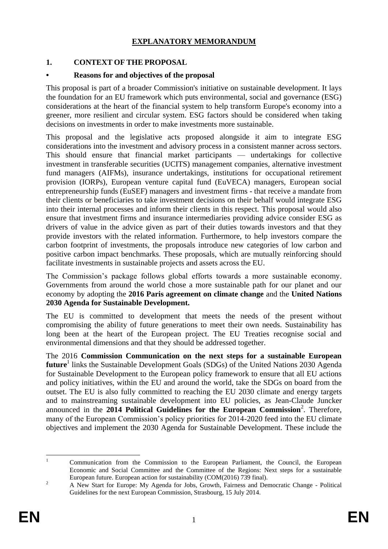# **EXPLANATORY MEMORANDUM**

# **1. CONTEXT OF THE PROPOSAL**

#### **• Reasons for and objectives of the proposal**

This proposal is part of a broader Commission's initiative on sustainable development. It lays the foundation for an EU framework which puts environmental, social and governance (ESG) considerations at the heart of the financial system to help transform Europe's economy into a greener, more resilient and circular system. ESG factors should be considered when taking decisions on investments in order to make investments more sustainable.

This proposal and the legislative acts proposed alongside it aim to integrate ESG considerations into the investment and advisory process in a consistent manner across sectors. This should ensure that financial market participants — undertakings for collective investment in transferable securities (UCITS) management companies, alternative investment fund managers (AIFMs), insurance undertakings, institutions for occupational retirement provision (IORPs), European venture capital fund (EuVECA) managers, European social entrepreneurship funds (EuSEF) managers and investment firms - that receive a mandate from their clients or beneficiaries to take investment decisions on their behalf would integrate ESG into their internal processes and inform their clients in this respect. This proposal would also ensure that investment firms and insurance intermediaries providing advice consider ESG as drivers of value in the advice given as part of their duties towards investors and that they provide investors with the related information. Furthermore, to help investors compare the carbon footprint of investments, the proposals introduce new categories of low carbon and positive carbon impact benchmarks. These proposals, which are mutually reinforcing should facilitate investments in sustainable projects and assets across the EU.

The Commission's package follows global efforts towards a more sustainable economy. Governments from around the world chose a more sustainable path for our planet and our economy by adopting the **2016 Paris agreement on climate change** and the **United Nations 2030 Agenda for Sustainable Development.**

The EU is committed to development that meets the needs of the present without compromising the ability of future generations to meet their own needs. Sustainability has long been at the heart of the European project. The EU Treaties recognise social and environmental dimensions and that they should be addressed together.

The 2016 **Commission Communication on the next steps for a sustainable European**  future<sup>1</sup> links the Sustainable Development Goals (SDGs) of the United Nations 2030 Agenda for Sustainable Development to the European policy framework to ensure that all EU actions and policy initiatives, within the EU and around the world, take the SDGs on board from the outset. The EU is also fully committed to reaching the EU 2030 climate and energy targets and to mainstreaming sustainable development into EU policies, as Jean-Claude Juncker announced in the 2014 Political Guidelines for the European Commission<sup>2</sup>. Therefore, many of the European Commission's policy priorities for 2014-2020 feed into the EU climate objectives and implement the 2030 Agenda for Sustainable Development. These include the

 $\mathbf{1}$ <sup>1</sup> Communication from the Commission to the European Parliament, the Council, the European Economic and Social Committee and the Committee of the Regions: Next steps for a sustainable European future. European action for sustainability (COM(2016) 739 final).

<sup>&</sup>lt;sup>2</sup> A New Start for Europe: My Agenda for Jobs, Growth, Fairness and Democratic Change - Political Guidelines for the next European Commission, Strasbourg, 15 July 2014.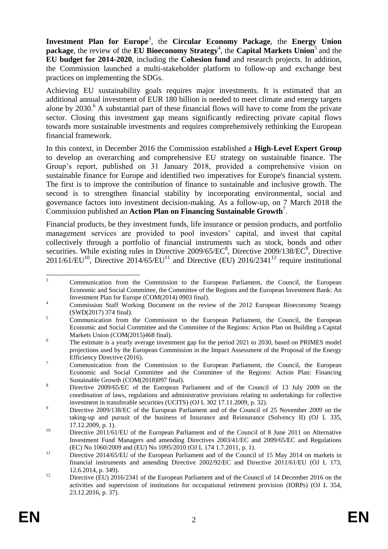Investment Plan for Europe<sup>3</sup>, the Circular Economy Package, the Energy Union **package**, the review of the **EU Bioeconomy Strategy**<sup>4</sup>, the **Capital Markets Union**<sup>5</sup> and the **EU budget for 2014-2020**, including the **Cohesion fund** and research projects. In addition, the Commission launched a multi-stakeholder platform to follow-up and exchange best practices on implementing the SDGs.

Achieving EU sustainability goals requires major investments. It is estimated that an additional annual investment of EUR 180 billion is needed to meet climate and energy targets alone by  $2030$ .<sup>6</sup> A substantial part of these financial flows will have to come from the private sector. Closing this investment gap means significantly redirecting private capital flows towards more sustainable investments and requires comprehensively rethinking the European financial framework.

In this context, in December 2016 the Commission established a **High-Level Expert Group** to develop an overarching and comprehensive EU strategy on sustainable finance. The Group's report, published on 31 January 2018, provided a comprehensive vision on sustainable finance for Europe and identified two imperatives for Europe's financial system. The first is to improve the contribution of finance to sustainable and inclusive growth. The second is to strengthen financial stability by incorporating environmental, social and governance factors into investment decision-making. As a follow-up, on 7 March 2018 the Commission published an **Action Plan on Financing Sustainable Growth**<sup>7</sup> .

Financial products, be they investment funds, life insurance or pension products, and portfolio management services are provided to pool investors' capital, and invest that capital collectively through a portfolio of financial instruments such as stock, bonds and other securities. While existing rules in Directive 2009/65/EC<sup>8</sup>, Directive 2009/138/EC<sup>9</sup>, Directive  $2011/61/EU^{10}$ , Directive  $2014/65/EU^{11}$  and Directive (EU)  $2016/2341^{12}$  require institutional

 $\overline{3}$ <sup>3</sup> Communication from the Commission to the European Parliament, the Council, the European Economic and Social Committee, the Committee of the Regions and the European Investment Bank: An Investment Plan for Europe (COM(2014) 0903 final).

<sup>&</sup>lt;sup>4</sup> Commission Staff Working Document on the review of the 2012 European Bioeconomy Strategy (SWD(2017) 374 final).

<sup>&</sup>lt;sup>5</sup> Communication from the Commission to the European Parliament, the Council, the European Economic and Social Committee and the Committee of the Regions: Action Plan on Building a Capital Markets Union (COM(2015)468 final).

<sup>&</sup>lt;sup>6</sup> The estimate is a yearly average investment gap for the period 2021 to 2030, based on PRIMES model projections used by the European Commission in the Impact Assessment of the Proposal of the Energy Efficiency Directive (2016).

<sup>&</sup>lt;sup>7</sup> Communication from the Commission to the European Parliament, the Council, the European Economic and Social Committee and the Committee of the Regions: Action Plan: Financing Sustainable Growth (COM(2018)097 final).

<sup>&</sup>lt;sup>8</sup> Directive 2009/65/EC of the European Parliament and of the Council of 13 July 2009 on the coordination of laws, regulations and administrative provisions relating to undertakings for collective investment in transferable securities (UCITS) (OJ L 302 17.11.2009, p. 32).

<sup>&</sup>lt;sup>9</sup><br>Directive 2009/138/EC of the European Parliament and of the Council of 25 November 2009 on the taking-up and pursuit of the business of Insurance and Reinsurance (Solvency II) (OJ L 335, 17.12.2009, p. 1).

<sup>&</sup>lt;sup>10</sup> Directive 2011/61/EU of the European Parliament and of the Council of 8 June 2011 on Alternative Investment Fund Managers and amending Directives 2003/41/EC and 2009/65/EC and Regulations (EC) No 1060/2009 and (EU) No 1095/2010 (OJ L 174 1.7.2011, p. 1).

<sup>&</sup>lt;sup>11</sup> Directive 2014/65/EU of the European Parliament and of the Council of 15 May 2014 on markets in financial instruments and amending Directive 2002/92/EC and Directive 2011/61/EU (OJ L 173, 12.6.2014, p. 349).

<sup>&</sup>lt;sup>12</sup> Directive (EU) 2016/2341 of the European Parliament and of the Council of 14 December 2016 on the activities and supervision of institutions for occupational retirement provision (IORPs) (OJ L 354, 23.12.2016, p. 37).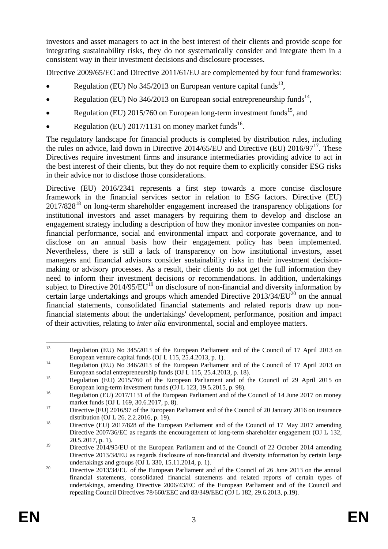investors and asset managers to act in the best interest of their clients and provide scope for integrating sustainability risks, they do not systematically consider and integrate them in a consistent way in their investment decisions and disclosure processes.

Directive 2009/65/EC and Directive 2011/61/EU are complemented by four fund frameworks:

- Regulation (EU) No  $345/2013$  on European venture capital funds<sup>13</sup>,
- Regulation (EU) No 346/2013 on European social entrepreneurship funds<sup>14</sup>,
- Regulation (EU)  $2015/760$  on European long-term investment funds<sup>15</sup>, and
- Regulation (EU)  $2017/1131$  on money market funds<sup>16</sup>.

The regulatory landscape for financial products is completed by distribution rules, including the rules on advice, laid down in Directive 2014/65/EU and Directive (EU)  $2016/97^{17}$ . These Directives require investment firms and insurance intermediaries providing advice to act in the best interest of their clients, but they do not require them to explicitly consider ESG risks in their advice nor to disclose those considerations.

Directive (EU) 2016/2341 represents a first step towards a more concise disclosure framework in the financial services sector in relation to ESG factors. Directive (EU)  $2017/828^{18}$  on long-term shareholder engagement increased the transparency obligations for institutional investors and asset managers by requiring them to develop and disclose an engagement strategy including a description of how they monitor investee companies on nonfinancial performance, social and environmental impact and corporate governance, and to disclose on an annual basis how their engagement policy has been implemented. Nevertheless, there is still a lack of transparency on how institutional investors, asset managers and financial advisors consider sustainability risks in their investment decisionmaking or advisory processes. As a result, their clients do not get the full information they need to inform their investment decisions or recommendations. In addition, undertakings subject to Directive 2014/95/EU<sup>19</sup> on disclosure of non-financial and diversity information by certain large undertakings and groups which amended Directive  $2013/34/EU^{20}$  on the annual financial statements, consolidated financial statements and related reports draw up nonfinancial statements about the undertakings' development, performance, position and impact of their activities, relating to *inter alia* environmental, social and employee matters.

 $13$ <sup>13</sup> Regulation (EU) No 345/2013 of the European Parliament and of the Council of 17 April 2013 on European venture capital funds (OJ L 115, 25.4.2013, p. 1).

<sup>&</sup>lt;sup>14</sup> Regulation (EU) No 346/2013 of the European Parliament and of the Council of 17 April 2013 on European social entrepreneurship funds (OJ L 115, 25.4.2013, p. 18).

<sup>&</sup>lt;sup>15</sup> Regulation (EU) 2015/760 of the European Parliament and of the Council of 29 April 2015 on European long-term investment funds (OJ L 123, 19.5.2015, p. 98).

<sup>&</sup>lt;sup>16</sup> Regulation (EU) 2017/1131 of the European Parliament and of the Council of 14 June 2017 on money market funds (OJ L 169, 30.6.2017, p. 8).

<sup>&</sup>lt;sup>17</sup> Directive (EU) 2016/97 of the European Parliament and of the Council of 20 January 2016 on insurance distribution (OJ L 26, 2.2.2016, p. 19).

<sup>&</sup>lt;sup>18</sup> Directive (EU) 2017/828 of the European Parliament and of the Council of 17 May 2017 amending Directive 2007/36/EC as regards the encouragement of long-term shareholder engagement (OJ L 132, 20.5.2017, p. 1).

<sup>&</sup>lt;sup>19</sup> Directive 2014/95/EU of the European Parliament and of the Council of 22 October 2014 amending Directive 2013/34/EU as regards disclosure of non-financial and diversity information by certain large undertakings and groups (OJ L 330, 15.11.2014, p. 1).

<sup>&</sup>lt;sup>20</sup> Directive 2013/34/EU of the European Parliament and of the Council of 26 June 2013 on the annual financial statements, consolidated financial statements and related reports of certain types of undertakings, amending Directive 2006/43/EC of the European Parliament and of the Council and repealing Council Directives 78/660/EEC and 83/349/EEC (OJ L 182, 29.6.2013, p.19).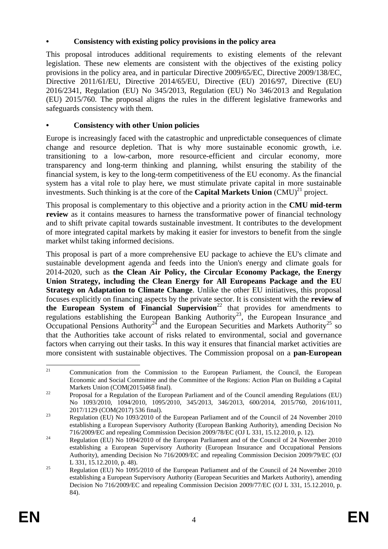## **• Consistency with existing policy provisions in the policy area**

This proposal introduces additional requirements to existing elements of the relevant legislation. These new elements are consistent with the objectives of the existing policy provisions in the policy area, and in particular Directive 2009/65/EC, Directive 2009/138/EC, Directive 2011/61/EU, Directive 2014/65/EU, Directive (EU) 2016/97, Directive (EU) 2016/2341, Regulation (EU) No 345/2013, Regulation (EU) No 346/2013 and Regulation (EU) 2015/760. The proposal aligns the rules in the different legislative frameworks and safeguards consistency with them.

## **• Consistency with other Union policies**

Europe is increasingly faced with the catastrophic and unpredictable consequences of climate change and resource depletion. That is why more sustainable economic growth, i.e. transitioning to a low-carbon, more resource-efficient and circular economy, more transparency and long-term thinking and planning, whilst ensuring the stability of the financial system, is key to the long-term competitiveness of the EU economy. As the financial system has a vital role to play here, we must stimulate private capital in more sustainable investments. Such thinking is at the core of the **Capital Markets Union**  $(CMU)^{21}$  project.

This proposal is complementary to this objective and a priority action in the **CMU mid-term review** as it contains measures to harness the transformative power of financial technology and to shift private capital towards sustainable investment. It contributes to the development of more integrated capital markets by making it easier for investors to benefit from the single market whilst taking informed decisions.

This proposal is part of a more comprehensive EU package to achieve the EU's climate and sustainable development agenda and feeds into the Union's energy and climate goals for 2014-2020, such as **the Clean Air Policy, the Circular Economy Package, the Energy Union Strategy, including the Clean Energy for All Europeans Package and the EU Strategy on Adaptation to Climate Change.** Unlike the other EU initiatives, this proposal focuses explicitly on financing aspects by the private sector. It is consistent with the **review of the European System of Financial Supervision**<sup>22</sup> that provides for amendments to regulations establishing the European Banking Authority<sup>23</sup>, the European Insurance and Occupational Pensions Authority<sup>24</sup> and the European Securities and Markets Authority<sup>25</sup> so that the Authorities take account of risks related to environmental, social and governance factors when carrying out their tasks. In this way it ensures that financial market activities are more consistent with sustainable objectives. The Commission proposal on a **pan-European** 

 $21$ <sup>21</sup> Communication from the Commission to the European Parliament, the Council, the European Economic and Social Committee and the Committee of the Regions: Action Plan on Building a Capital Markets Union (COM(2015)468 final).

<sup>&</sup>lt;sup>22</sup> Proposal for a Regulation of the European Parliament and of the Council amending Regulations (EU) No 1093/2010, 1094/2010, 1095/2010, 345/2013, 346/2013, 600/2014, 2015/760, 2016/1011, 2017/1129 (COM(2017) 536 final).

<sup>&</sup>lt;sup>23</sup> Regulation (EU) No 1093/2010 of the European Parliament and of the Council of 24 November 2010 establishing a European Supervisory Authority (European Banking Authority), amending Decision No 716/2009/EC and repealing Commission Decision 2009/78/EC (OJ L 331, 15.12.2010, p. 12).

<sup>&</sup>lt;sup>24</sup> Regulation (EU) No 1094/2010 of the European Parliament and of the Council of 24 November 2010 establishing a European Supervisory Authority (European Insurance and Occupational Pensions Authority), amending Decision No 716/2009/EC and repealing Commission Decision 2009/79/EC (OJ L 331, 15.12.2010, p. 48).

<sup>&</sup>lt;sup>25</sup> Regulation (EU) No 1095/2010 of the European Parliament and of the Council of 24 November 2010 establishing a European Supervisory Authority (European Securities and Markets Authority), amending Decision No 716/2009/EC and repealing Commission Decision 2009/77/EC (OJ L 331, 15.12.2010, p. 84).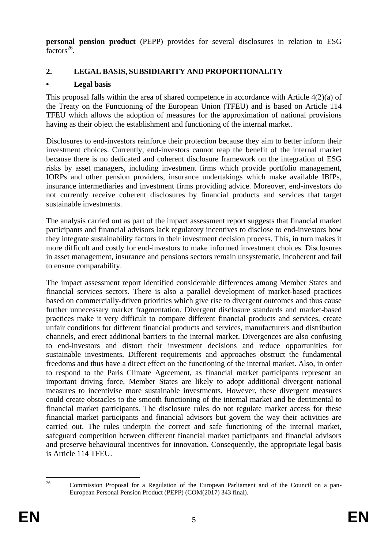**personal pension product** (PEPP) provides for several disclosures in relation to ESG  $factors^{26}$ .

# **2. LEGAL BASIS, SUBSIDIARITY AND PROPORTIONALITY**

# **• Legal basis**

This proposal falls within the area of shared competence in accordance with Article 4(2)(a) of the Treaty on the Functioning of the European Union (TFEU) and is based on Article 114 TFEU which allows the adoption of measures for the approximation of national provisions having as their object the establishment and functioning of the internal market.

Disclosures to end-investors reinforce their protection because they aim to better inform their investment choices. Currently, end-investors cannot reap the benefit of the internal market because there is no dedicated and coherent disclosure framework on the integration of ESG risks by asset managers, including investment firms which provide portfolio management, IORPs and other pension providers, insurance undertakings which make available IBIPs, insurance intermediaries and investment firms providing advice. Moreover, end-investors do not currently receive coherent disclosures by financial products and services that target sustainable investments.

The analysis carried out as part of the impact assessment report suggests that financial market participants and financial advisors lack regulatory incentives to disclose to end-investors how they integrate sustainability factors in their investment decision process. This, in turn makes it more difficult and costly for end-investors to make informed investment choices. Disclosures in asset management, insurance and pensions sectors remain unsystematic, incoherent and fail to ensure comparability.

The impact assessment report identified considerable differences among Member States and financial services sectors. There is also a parallel development of market-based practices based on commercially-driven priorities which give rise to divergent outcomes and thus cause further unnecessary market fragmentation. Divergent disclosure standards and market-based practices make it very difficult to compare different financial products and services, create unfair conditions for different financial products and services, manufacturers and distribution channels, and erect additional barriers to the internal market. Divergences are also confusing to end-investors and distort their investment decisions and reduce opportunities for sustainable investments. Different requirements and approaches obstruct the fundamental freedoms and thus have a direct effect on the functioning of the internal market. Also, in order to respond to the Paris Climate Agreement, as financial market participants represent an important driving force, Member States are likely to adopt additional divergent national measures to incentivise more sustainable investments. However, these divergent measures could create obstacles to the smooth functioning of the internal market and be detrimental to financial market participants. The disclosure rules do not regulate market access for these financial market participants and financial advisors but govern the way their activities are carried out. The rules underpin the correct and safe functioning of the internal market, safeguard competition between different financial market participants and financial advisors and preserve behavioural incentives for innovation. Consequently, the appropriate legal basis is Article 114 TFEU.

 $26$ <sup>26</sup> Commission Proposal for a Regulation of the European Parliament and of the Council on a pan-European Personal Pension Product (PEPP) (COM(2017) 343 final).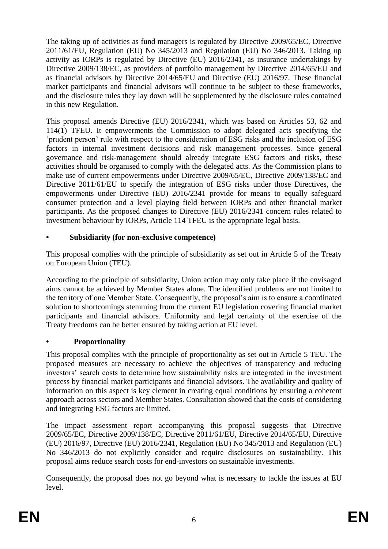The taking up of activities as fund managers is regulated by Directive 2009/65/EC, Directive 2011/61/EU, Regulation (EU) No 345/2013 and Regulation (EU) No 346/2013. Taking up activity as IORPs is regulated by Directive (EU) 2016/2341, as insurance undertakings by Directive 2009/138/EC, as providers of portfolio management by Directive 2014/65/EU and as financial advisors by Directive 2014/65/EU and Directive (EU) 2016/97. These financial market participants and financial advisors will continue to be subject to these frameworks, and the disclosure rules they lay down will be supplemented by the disclosure rules contained in this new Regulation.

This proposal amends Directive (EU) 2016/2341, which was based on Articles 53, 62 and 114(1) TFEU. It empowerments the Commission to adopt delegated acts specifying the 'prudent person' rule with respect to the consideration of ESG risks and the inclusion of ESG factors in internal investment decisions and risk management processes. Since general governance and risk-management should already integrate ESG factors and risks, these activities should be organised to comply with the delegated acts. As the Commission plans to make use of current empowerments under Directive 2009/65/EC, Directive 2009/138/EC and Directive 2011/61/EU to specify the integration of ESG risks under those Directives, the empowerments under Directive (EU) 2016/2341 provide for means to equally safeguard consumer protection and a level playing field between IORPs and other financial market participants. As the proposed changes to Directive (EU) 2016/2341 concern rules related to investment behaviour by IORPs, Article 114 TFEU is the appropriate legal basis.

# **• Subsidiarity (for non-exclusive competence)**

This proposal complies with the principle of subsidiarity as set out in Article 5 of the Treaty on European Union (TEU).

According to the principle of subsidiarity, Union action may only take place if the envisaged aims cannot be achieved by Member States alone. The identified problems are not limited to the territory of one Member State. Consequently, the proposal's aim is to ensure a coordinated solution to shortcomings stemming from the current EU legislation covering financial market participants and financial advisors. Uniformity and legal certainty of the exercise of the Treaty freedoms can be better ensured by taking action at EU level.

# **• Proportionality**

This proposal complies with the principle of proportionality as set out in Article 5 TEU. The proposed measures are necessary to achieve the objectives of transparency and reducing investors' search costs to determine how sustainability risks are integrated in the investment process by financial market participants and financial advisors. The availability and quality of information on this aspect is key element in creating equal conditions by ensuring a coherent approach across sectors and Member States. Consultation showed that the costs of considering and integrating ESG factors are limited.

The impact assessment report accompanying this proposal suggests that Directive 2009/65/EC, Directive 2009/138/EC, Directive 2011/61/EU, Directive 2014/65/EU, Directive (EU) 2016/97, Directive (EU) 2016/2341, Regulation (EU) No 345/2013 and Regulation (EU) No 346/2013 do not explicitly consider and require disclosures on sustainability. This proposal aims reduce search costs for end-investors on sustainable investments.

Consequently, the proposal does not go beyond what is necessary to tackle the issues at EU level.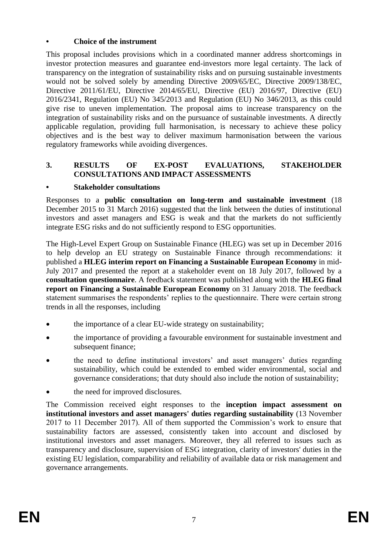# **• Choice of the instrument**

This proposal includes provisions which in a coordinated manner address shortcomings in investor protection measures and guarantee end-investors more legal certainty. The lack of transparency on the integration of sustainability risks and on pursuing sustainable investments would not be solved solely by amending Directive 2009/65/EC, Directive 2009/138/EC, Directive 2011/61/EU, Directive 2014/65/EU, Directive (EU) 2016/97, Directive (EU) 2016/2341, Regulation (EU) No 345/2013 and Regulation (EU) No 346/2013, as this could give rise to uneven implementation. The proposal aims to increase transparency on the integration of sustainability risks and on the pursuance of sustainable investments. A directly applicable regulation, providing full harmonisation, is necessary to achieve these policy objectives and is the best way to deliver maximum harmonisation between the various regulatory frameworks while avoiding divergences.

# **3. RESULTS OF EX-POST EVALUATIONS, STAKEHOLDER CONSULTATIONS AND IMPACT ASSESSMENTS**

## **• Stakeholder consultations**

Responses to a **public consultation on long-term and sustainable investment** (18 December 2015 to 31 March 2016) suggested that the link between the duties of institutional investors and asset managers and ESG is weak and that the markets do not sufficiently integrate ESG risks and do not sufficiently respond to ESG opportunities.

The High-Level Expert Group on Sustainable Finance (HLEG) was set up in December 2016 to help develop an EU strategy on Sustainable Finance through recommendations: it published a **HLEG interim report on Financing a Sustainable European Economy** in mid-July 2017 and presented the report at a stakeholder event on 18 July 2017, followed by a **consultation questionnaire**. A feedback statement was published along with the **HLEG final report on Financing a Sustainable European Economy** on 31 January 2018. The feedback statement summarises the respondents' replies to the questionnaire. There were certain strong trends in all the responses, including

- the importance of a clear EU-wide strategy on sustainability;
- the importance of providing a favourable environment for sustainable investment and subsequent finance:
- the need to define institutional investors' and asset managers' duties regarding sustainability, which could be extended to embed wider environmental, social and governance considerations; that duty should also include the notion of sustainability;
- the need for improved disclosures.

The Commission received eight responses to the **inception impact assessment on institutional investors and asset managers' duties regarding sustainability** (13 November 2017 to 11 December 2017). All of them supported the Commission's work to ensure that sustainability factors are assessed, consistently taken into account and disclosed by institutional investors and asset managers. Moreover, they all referred to issues such as transparency and disclosure, supervision of ESG integration, clarity of investors' duties in the existing EU legislation, comparability and reliability of available data or risk management and governance arrangements.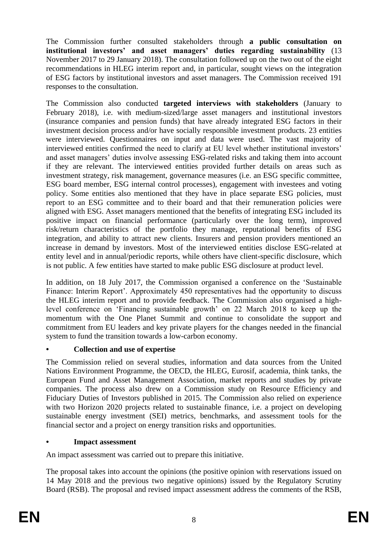The Commission further consulted stakeholders through **a public consultation on institutional investors' and asset managers' duties regarding sustainability** (13 November 2017 to 29 January 2018). The consultation followed up on the two out of the eight recommendations in HLEG interim report and, in particular, sought views on the integration of ESG factors by institutional investors and asset managers. The Commission received 191 responses to the consultation.

The Commission also conducted **targeted interviews with stakeholders** (January to February 2018), i.e. with medium-sized/large asset managers and institutional investors (insurance companies and pension funds) that have already integrated ESG factors in their investment decision process and/or have socially responsible investment products. 23 entities were interviewed. Questionnaires on input and data were used. The vast majority of interviewed entities confirmed the need to clarify at EU level whether institutional investors' and asset managers' duties involve assessing ESG-related risks and taking them into account if they are relevant. The interviewed entities provided further details on areas such as investment strategy, risk management, governance measures (i.e. an ESG specific committee, ESG board member, ESG internal control processes), engagement with investees and voting policy. Some entities also mentioned that they have in place separate ESG policies, must report to an ESG committee and to their board and that their remuneration policies were aligned with ESG. Asset managers mentioned that the benefits of integrating ESG included its positive impact on financial performance (particularly over the long term), improved risk/return characteristics of the portfolio they manage, reputational benefits of ESG integration, and ability to attract new clients. Insurers and pension providers mentioned an increase in demand by investors. Most of the interviewed entities disclose ESG-related at entity level and in annual/periodic reports, while others have client-specific disclosure, which is not public. A few entities have started to make public ESG disclosure at product level.

In addition, on 18 July 2017, the Commission organised a conference on the 'Sustainable Finance: Interim Report'. Approximately 450 representatives had the opportunity to discuss the HLEG interim report and to provide feedback. The Commission also organised a highlevel conference on 'Financing sustainable growth' on 22 March 2018 to keep up the momentum with the One Planet Summit and continue to consolidate the support and commitment from EU leaders and key private players for the changes needed in the financial system to fund the transition towards a low-carbon economy.

# **• Collection and use of expertise**

The Commission relied on several studies, information and data sources from the United Nations Environment Programme, the OECD, the HLEG, Eurosif, academia, think tanks, the European Fund and Asset Management Association, market reports and studies by private companies. The process also drew on a Commission study on Resource Efficiency and Fiduciary Duties of Investors published in 2015. The Commission also relied on experience with two Horizon 2020 projects related to sustainable finance, i.e. a project on developing sustainable energy investment (SEI) metrics, benchmarks, and assessment tools for the financial sector and a project on energy transition risks and opportunities.

# **• Impact assessment**

An impact assessment was carried out to prepare this initiative.

The proposal takes into account the opinions (the positive opinion with reservations issued on 14 May 2018 and the previous two negative opinions) issued by the Regulatory Scrutiny Board (RSB). The proposal and revised impact assessment address the comments of the RSB,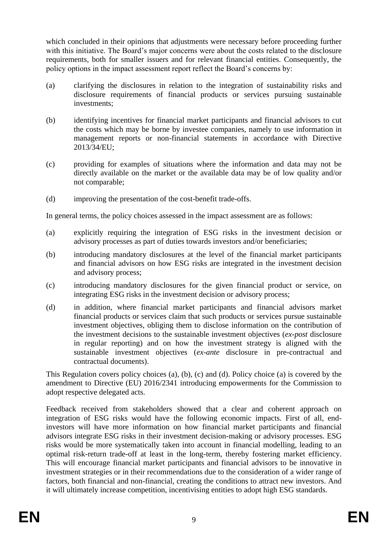which concluded in their opinions that adjustments were necessary before proceeding further with this initiative. The Board's major concerns were about the costs related to the disclosure requirements, both for smaller issuers and for relevant financial entities. Consequently, the policy options in the impact assessment report reflect the Board's concerns by:

- (a) clarifying the disclosures in relation to the integration of sustainability risks and disclosure requirements of financial products or services pursuing sustainable investments;
- (b) identifying incentives for financial market participants and financial advisors to cut the costs which may be borne by investee companies, namely to use information in management reports or non-financial statements in accordance with Directive 2013/34/EU;
- (c) providing for examples of situations where the information and data may not be directly available on the market or the available data may be of low quality and/or not comparable;
- (d) improving the presentation of the cost-benefit trade-offs.

In general terms, the policy choices assessed in the impact assessment are as follows:

- (a) explicitly requiring the integration of ESG risks in the investment decision or advisory processes as part of duties towards investors and/or beneficiaries;
- (b) introducing mandatory disclosures at the level of the financial market participants and financial advisors on how ESG risks are integrated in the investment decision and advisory process;
- (c) introducing mandatory disclosures for the given financial product or service, on integrating ESG risks in the investment decision or advisory process;
- (d) in addition, where financial market participants and financial advisors market financial products or services claim that such products or services pursue sustainable investment objectives, obliging them to disclose information on the contribution of the investment decisions to the sustainable investment objectives (*ex-post* disclosure in regular reporting) and on how the investment strategy is aligned with the sustainable investment objectives (*ex-ante* disclosure in pre-contractual and contractual documents).

This Regulation covers policy choices (a), (b), (c) and (d). Policy choice (a) is covered by the amendment to Directive (EU) 2016/2341 introducing empowerments for the Commission to adopt respective delegated acts.

Feedback received from stakeholders showed that a clear and coherent approach on integration of ESG risks would have the following economic impacts. First of all, endinvestors will have more information on how financial market participants and financial advisors integrate ESG risks in their investment decision-making or advisory processes. ESG risks would be more systematically taken into account in financial modelling, leading to an optimal risk-return trade-off at least in the long-term, thereby fostering market efficiency. This will encourage financial market participants and financial advisors to be innovative in investment strategies or in their recommendations due to the consideration of a wider range of factors, both financial and non-financial, creating the conditions to attract new investors. And it will ultimately increase competition, incentivising entities to adopt high ESG standards.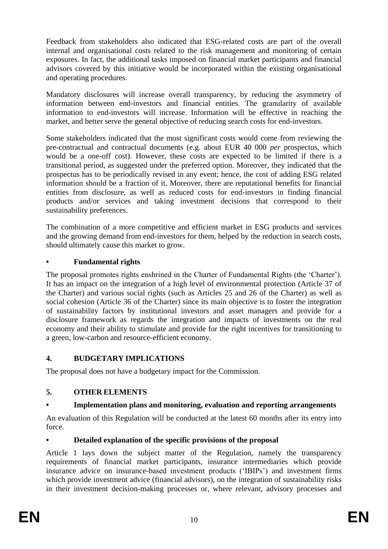Feedback from stakeholders also indicated that ESG-related costs are part of the overall internal and organisational costs related to the risk management and monitoring of certain exposures. In fact, the additional tasks imposed on financial market participants and financial advisors covered by this initiative would be incorporated within the existing organisational and operating procedures.

Mandatory disclosures will increase overall transparency, by reducing the asymmetry of information between end-investors and financial entities. The granularity of available information to end-investors will increase. Information will be effective in reaching the market, and better serve the general objective of reducing search costs for end-investors.

Some stakeholders indicated that the most significant costs would come from reviewing the pre-contractual and contractual documents (e.g. about EUR 40 000 *per* prospectus, which would be a one-off cost). However, these costs are expected to be limited if there is a transitional period, as suggested under the preferred option. Moreover, they indicated that the prospectus has to be periodically revised in any event; hence, the cost of adding ESG related information should be a fraction of it. Moreover, there are reputational benefits for financial entities from disclosure, as well as reduced costs for end-investors in finding financial products and/or services and taking investment decisions that correspond to their sustainability preferences.

The combination of a more competitive and efficient market in ESG products and services and the growing demand from end-investors for them, helped by the reduction in search costs, should ultimately cause this market to grow.

# **• Fundamental rights**

The proposal promotes rights enshrined in the Charter of Fundamental Rights (the 'Charter'). It has an impact on the integration of a high level of environmental protection (Article 37 of the Charter) and various social rights (such as Articles 25 and 26 of the Charter) as well as social cohesion (Article 36 of the Charter) since its main objective is to foster the integration of sustainability factors by institutional investors and asset managers and provide for a disclosure framework as regards the integration and impacts of investments on the real economy and their ability to stimulate and provide for the right incentives for transitioning to a green, low-carbon and resource-efficient economy.

# **4. BUDGETARY IMPLICATIONS**

The proposal does not have a budgetary impact for the Commission.

# **5. OTHER ELEMENTS**

# **• Implementation plans and monitoring, evaluation and reporting arrangements**

An evaluation of this Regulation will be conducted at the latest 60 months after its entry into force.

# **• Detailed explanation of the specific provisions of the proposal**

Article 1 lays down the subject matter of the Regulation, namely the transparency requirements of financial market participants, insurance intermediaries which provide insurance advice on insurance-based investment products ('IBIPs') and investment firms which provide investment advice (financial advisors), on the integration of sustainability risks in their investment decision-making processes or, where relevant, advisory processes and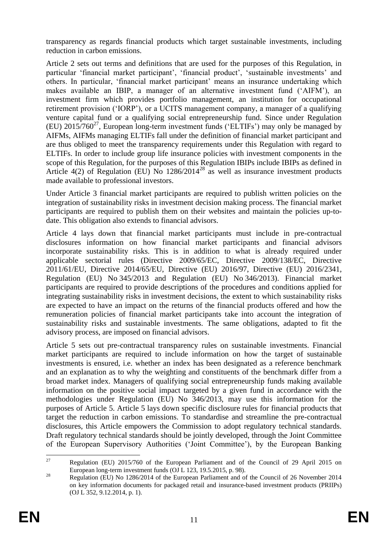transparency as regards financial products which target sustainable investments, including reduction in carbon emissions.

Article 2 sets out terms and definitions that are used for the purposes of this Regulation, in particular 'financial market participant', 'financial product', 'sustainable investments' and others. In particular, 'financial market participant' means an insurance undertaking which makes available an IBIP, a manager of an alternative investment fund ('AIFM'), an investment firm which provides portfolio management, an institution for occupational retirement provision ('IORP'), or a UCITS management company, a manager of a qualifying venture capital fund or a qualifying social entrepreneurship fund. Since under Regulation (EU)  $2015/760^{27}$ , European long-term investment funds ('ELTIFs') may only be managed by AIFMs, AIFMs managing ELTIFs fall under the definition of financial market participant and are thus obliged to meet the transparency requirements under this Regulation with regard to ELTIFs. In order to include group life insurance policies with investment components in the scope of this Regulation, for the purposes of this Regulation IBIPs include IBIPs as defined in Article  $4(2)$  of Regulation (EU) No  $1286/2014^{28}$  as well as insurance investment products made available to professional investors.

Under Article 3 financial market participants are required to publish written policies on the integration of sustainability risks in investment decision making process. The financial market participants are required to publish them on their websites and maintain the policies up-todate. This obligation also extends to financial advisors.

Article 4 lays down that financial market participants must include in pre-contractual disclosures information on how financial market participants and financial advisors incorporate sustainability risks. This is in addition to what is already required under applicable sectorial rules (Directive 2009/65/EC, Directive 2009/138/EC, Directive 2011/61/EU, Directive 2014/65/EU, Directive (EU) 2016/97, Directive (EU) 2016/2341, Regulation (EU) No 345/2013 and Regulation (EU) No 346/2013). Financial market participants are required to provide descriptions of the procedures and conditions applied for integrating sustainability risks in investment decisions, the extent to which sustainability risks are expected to have an impact on the returns of the financial products offered and how the remuneration policies of financial market participants take into account the integration of sustainability risks and sustainable investments. The same obligations, adapted to fit the advisory process, are imposed on financial advisors.

Article 5 sets out pre-contractual transparency rules on sustainable investments. Financial market participants are required to include information on how the target of sustainable investments is ensured, i.e. whether an index has been designated as a reference benchmark and an explanation as to why the weighting and constituents of the benchmark differ from a broad market index. Managers of qualifying social entrepreneurship funds making available information on the positive social impact targeted by a given fund in accordance with the methodologies under Regulation (EU) No 346/2013, may use this information for the purposes of Article 5. Article 5 lays down specific disclosure rules for financial products that target the reduction in carbon emissions. To standardise and streamline the pre-contractual disclosures, this Article empowers the Commission to adopt regulatory technical standards. Draft regulatory technical standards should be jointly developed, through the Joint Committee of the European Supervisory Authorities ('Joint Committee'), by the European Banking

 $27$ <sup>27</sup> Regulation (EU) 2015/760 of the European Parliament and of the Council of 29 April 2015 on European long-term investment funds (OJ L 123, 19.5.2015, p. 98).

 $28$  Regulation (EU) No 1286/2014 of the European Parliament and of the Council of 26 November 2014 on key information documents for packaged retail and insurance-based investment products (PRIIPs) (OJ L 352, 9.12.2014, p. 1).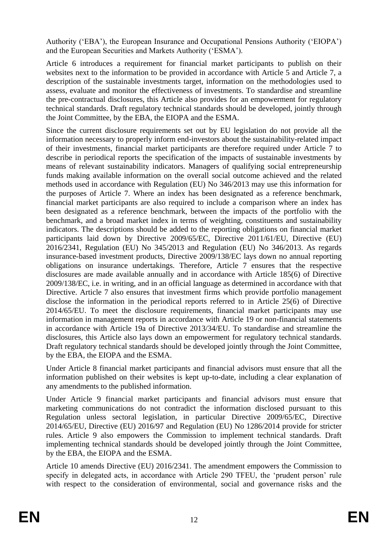Authority ('EBA'), the European Insurance and Occupational Pensions Authority ('EIOPA') and the European Securities and Markets Authority ('ESMA').

Article 6 introduces a requirement for financial market participants to publish on their websites next to the information to be provided in accordance with Article 5 and Article 7, a description of the sustainable investments target, information on the methodologies used to assess, evaluate and monitor the effectiveness of investments. To standardise and streamline the pre-contractual disclosures, this Article also provides for an empowerment for regulatory technical standards. Draft regulatory technical standards should be developed, jointly through the Joint Committee, by the EBA, the EIOPA and the ESMA.

Since the current disclosure requirements set out by EU legislation do not provide all the information necessary to properly inform end-investors about the sustainability-related impact of their investments, financial market participants are therefore required under Article 7 to describe in periodical reports the specification of the impacts of sustainable investments by means of relevant sustainability indicators. Managers of qualifying social entrepreneurship funds making available information on the overall social outcome achieved and the related methods used in accordance with Regulation (EU) No 346/2013 may use this information for the purposes of Article 7. Where an index has been designated as a reference benchmark, financial market participants are also required to include a comparison where an index has been designated as a reference benchmark, between the impacts of the portfolio with the benchmark, and a broad market index in terms of weighting, constituents and sustainability indicators. The descriptions should be added to the reporting obligations on financial market participants laid down by Directive 2009/65/EC, Directive 2011/61/EU, Directive (EU) 2016/2341, Regulation (EU) No 345/2013 and Regulation (EU) No 346/2013. As regards insurance-based investment products, Directive 2009/138/EC lays down no annual reporting obligations on insurance undertakings. Therefore, Article 7 ensures that the respective disclosures are made available annually and in accordance with Article 185(6) of Directive 2009/138/EC, i.e. in writing, and in an official language as determined in accordance with that Directive. Article 7 also ensures that investment firms which provide portfolio management disclose the information in the periodical reports referred to in Article 25(6) of Directive 2014/65/EU. To meet the disclosure requirements, financial market participants may use information in management reports in accordance with Article 19 or non-financial statements in accordance with Article 19a of Directive 2013/34/EU. To standardise and streamline the disclosures, this Article also lays down an empowerment for regulatory technical standards. Draft regulatory technical standards should be developed jointly through the Joint Committee, by the EBA, the EIOPA and the ESMA.

Under Article 8 financial market participants and financial advisors must ensure that all the information published on their websites is kept up-to-date, including a clear explanation of any amendments to the published information.

Under Article 9 financial market participants and financial advisors must ensure that marketing communications do not contradict the information disclosed pursuant to this Regulation unless sectoral legislation, in particular Directive 2009/65/EC, Directive 2014/65/EU, Directive (EU) 2016/97 and Regulation (EU) No 1286/2014 provide for stricter rules. Article 9 also empowers the Commission to implement technical standards. Draft implementing technical standards should be developed jointly through the Joint Committee, by the EBA, the EIOPA and the ESMA.

Article 10 amends Directive (EU) 2016/2341. The amendment empowers the Commission to specify in delegated acts, in accordance with Article 290 TFEU, the 'prudent person' rule with respect to the consideration of environmental, social and governance risks and the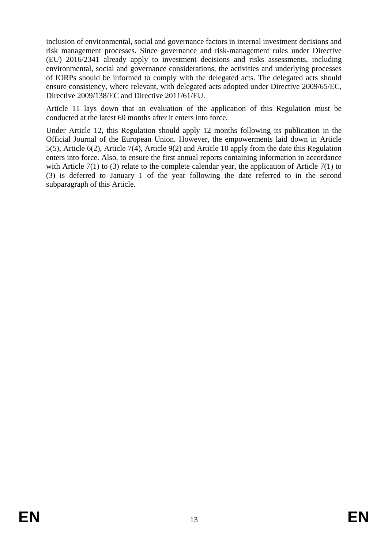inclusion of environmental, social and governance factors in internal investment decisions and risk management processes. Since governance and risk-management rules under Directive (EU) 2016/2341 already apply to investment decisions and risks assessments, including environmental, social and governance considerations, the activities and underlying processes of IORPs should be informed to comply with the delegated acts. The delegated acts should ensure consistency, where relevant, with delegated acts adopted under Directive 2009/65/EC, Directive 2009/138/EC and Directive 2011/61/EU.

Article 11 lays down that an evaluation of the application of this Regulation must be conducted at the latest 60 months after it enters into force.

Under Article 12, this Regulation should apply 12 months following its publication in the Official Journal of the European Union. However, the empowerments laid down in Article 5(5), Article 6(2), Article 7(4), Article 9(2) and Article 10 apply from the date this Regulation enters into force. Also, to ensure the first annual reports containing information in accordance with Article 7(1) to (3) relate to the complete calendar year, the application of Article 7(1) to (3) is deferred to January 1 of the year following the date referred to in the second subparagraph of this Article.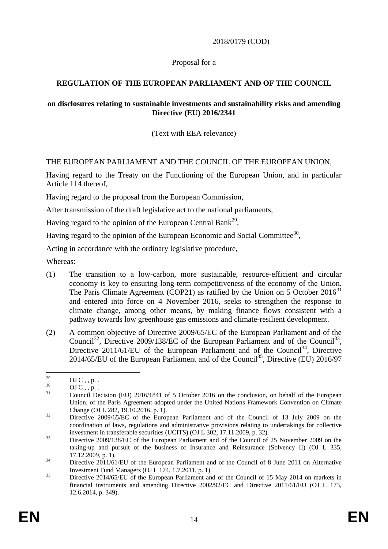## 2018/0179 (COD)

## Proposal for a

# **REGULATION OF THE EUROPEAN PARLIAMENT AND OF THE COUNCIL**

#### **on disclosures relating to sustainable investments and sustainability risks and amending Directive (EU) 2016/2341**

## (Text with EEA relevance)

## THE EUROPEAN PARLIAMENT AND THE COUNCIL OF THE EUROPEAN UNION,

Having regard to the Treaty on the Functioning of the European Union, and in particular Article 114 thereof,

Having regard to the proposal from the European Commission,

After transmission of the draft legislative act to the national parliaments,

Having regard to the opinion of the European Central Bank<sup>29</sup>,

Having regard to the opinion of the European Economic and Social Committee<sup>30</sup>,

Acting in accordance with the ordinary legislative procedure,

Whereas:

- (1) The transition to a low-carbon, more sustainable, resource-efficient and circular economy is key to ensuring long-term competitiveness of the economy of the Union. The Paris Climate Agreement (COP21) as ratified by the Union on 5 October  $2016<sup>31</sup>$ and entered into force on 4 November 2016, seeks to strengthen the response to climate change, among other means, by making finance flows consistent with a pathway towards low greenhouse gas emissions and climate-resilient development.
- (2) A common objective of Directive 2009/65/EC of the European Parliament and of the Council<sup>32</sup>, Directive 2009/138/EC of the European Parliament and of the Council<sup>33</sup>, Directive 2011/61/EU of the European Parliament and of the Council<sup>34</sup>, Directive  $2014/65/EU$  of the European Parliament and of the Council<sup>35</sup>, Directive (EU) 2016/97

 $29$ <sup>29</sup> OJ C, , p. .

 $^{30}$  OJ C, , p. .

<sup>&</sup>lt;sup>31</sup> Council Decision (EU) 2016/1841 of 5 October 2016 on the conclusion, on behalf of the European Union, of the Paris Agreement adopted under the United Nations Framework Convention on Climate Change (OJ L 282, 19.10.2016, p. 1).

<sup>&</sup>lt;sup>32</sup> Directive 2009/65/EC of the European Parliament and of the Council of 13 July 2009 on the coordination of laws, regulations and administrative provisions relating to undertakings for collective investment in transferable securities (UCITS) (OJ L 302, 17.11.2009, p. 32).

<sup>&</sup>lt;sup>33</sup> Directive 2009/138/EC of the European Parliament and of the Council of 25 November 2009 on the taking-up and pursuit of the business of Insurance and Reinsurance (Solvency II) (OJ L 335, 17.12.2009, p. 1).

<sup>&</sup>lt;sup>34</sup> Directive 2011/61/EU of the European Parliament and of the Council of 8 June 2011 on Alternative Investment Fund Managers (OJ L 174, 1.7.2011, p. 1).

 $35$  Directive 2014/65/EU of the European Parliament and of the Council of 15 May 2014 on markets in financial instruments and amending Directive 2002/92/EC and Directive 2011/61/EU (OJ L 173, 12.6.2014, p. 349).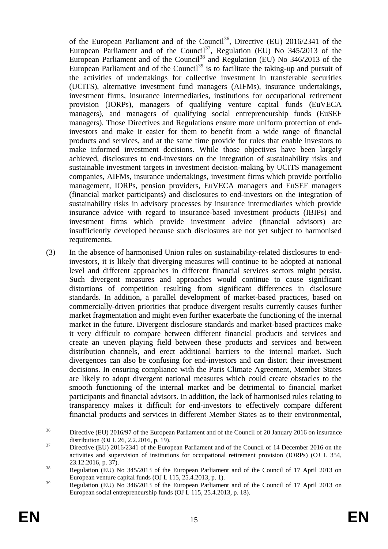of the European Parliament and of the Council<sup>36</sup>, Directive (EU) 2016/2341 of the European Parliament and of the Council<sup>37</sup>, Regulation (EU) No  $345/2013$  of the European Parliament and of the Council<sup>38</sup> and Regulation (EU) No  $346/2013$  of the European Parliament and of the Council<sup>39</sup> is to facilitate the taking-up and pursuit of the activities of undertakings for collective investment in transferable securities (UCITS), alternative investment fund managers (AIFMs), insurance undertakings, investment firms, insurance intermediaries, institutions for occupational retirement provision (IORPs), managers of qualifying venture capital funds (EuVECA managers), and managers of qualifying social entrepreneurship funds (EuSEF managers). Those Directives and Regulations ensure more uniform protection of endinvestors and make it easier for them to benefit from a wide range of financial products and services, and at the same time provide for rules that enable investors to make informed investment decisions. While those objectives have been largely achieved, disclosures to end-investors on the integration of sustainability risks and sustainable investment targets in investment decision-making by UCITS management companies, AIFMs, insurance undertakings, investment firms which provide portfolio management, IORPs, pension providers, EuVECA managers and EuSEF managers (financial market participants) and disclosures to end-investors on the integration of sustainability risks in advisory processes by insurance intermediaries which provide insurance advice with regard to insurance-based investment products (IBIPs) and investment firms which provide investment advice (financial advisors) are insufficiently developed because such disclosures are not yet subject to harmonised requirements.

(3) In the absence of harmonised Union rules on sustainability-related disclosures to endinvestors, it is likely that diverging measures will continue to be adopted at national level and different approaches in different financial services sectors might persist. Such divergent measures and approaches would continue to cause significant distortions of competition resulting from significant differences in disclosure standards. In addition, a parallel development of market-based practices, based on commercially-driven priorities that produce divergent results currently causes further market fragmentation and might even further exacerbate the functioning of the internal market in the future. Divergent disclosure standards and market-based practices make it very difficult to compare between different financial products and services and create an uneven playing field between these products and services and between distribution channels, and erect additional barriers to the internal market. Such divergences can also be confusing for end-investors and can distort their investment decisions. In ensuring compliance with the Paris Climate Agreement, Member States are likely to adopt divergent national measures which could create obstacles to the smooth functioning of the internal market and be detrimental to financial market participants and financial advisors. In addition, the lack of harmonised rules relating to transparency makes it difficult for end-investors to effectively compare different financial products and services in different Member States as to their environmental,

<sup>36</sup> <sup>36</sup> Directive (EU) 2016/97 of the European Parliament and of the Council of 20 January 2016 on insurance distribution (OJ L 26, 2.2.2016, p. 19).

<sup>&</sup>lt;sup>37</sup> Directive (EU) 2016/2341 of the European Parliament and of the Council of 14 December 2016 on the activities and supervision of institutions for occupational retirement provision (IORPs) (OJ L 354, 23.12.2016, p. 37).

<sup>&</sup>lt;sup>38</sup> Regulation (EU) No 345/2013 of the European Parliament and of the Council of 17 April 2013 on European venture capital funds (OJ L 115, 25.4.2013, p. 1).

<sup>&</sup>lt;sup>39</sup> Regulation (EU) No 346/2013 of the European Parliament and of the Council of 17 April 2013 on European social entrepreneurship funds (OJ L 115, 25.4.2013, p. 18).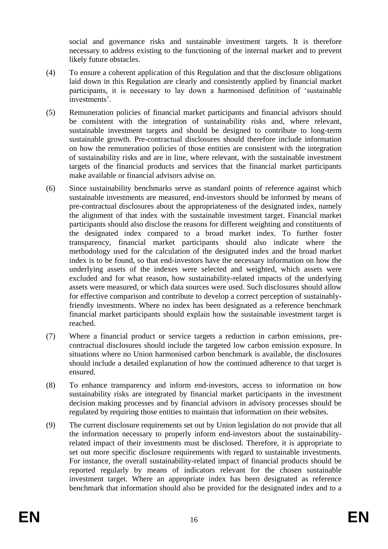social and governance risks and sustainable investment targets. It is therefore necessary to address existing to the functioning of the internal market and to prevent likely future obstacles.

- (4) To ensure a coherent application of this Regulation and that the disclosure obligations laid down in this Regulation are clearly and consistently applied by financial market participants, it is necessary to lay down a harmonised definition of 'sustainable investments'.
- (5) Remuneration policies of financial market participants and financial advisors should be consistent with the integration of sustainability risks and, where relevant, sustainable investment targets and should be designed to contribute to long-term sustainable growth. Pre-contractual disclosures should therefore include information on how the remuneration policies of those entities are consistent with the integration of sustainability risks and are in line, where relevant, with the sustainable investment targets of the financial products and services that the financial market participants make available or financial advisors advise on.
- (6) Since sustainability benchmarks serve as standard points of reference against which sustainable investments are measured, end-investors should be informed by means of pre-contractual disclosures about the appropriateness of the designated index, namely the alignment of that index with the sustainable investment target. Financial market participants should also disclose the reasons for different weighting and constituents of the designated index compared to a broad market index. To further foster transparency, financial market participants should also indicate where the methodology used for the calculation of the designated index and the broad market index is to be found, so that end-investors have the necessary information on how the underlying assets of the indexes were selected and weighted, which assets were excluded and for what reason, how sustainability-related impacts of the underlying assets were measured, or which data sources were used. Such disclosures should allow for effective comparison and contribute to develop a correct perception of sustainablyfriendly investments. Where no index has been designated as a reference benchmark financial market participants should explain how the sustainable investment target is reached.
- (7) Where a financial product or service targets a reduction in carbon emissions, precontractual disclosures should include the targeted low carbon emission exposure. In situations where no Union harmonised carbon benchmark is available, the disclosures should include a detailed explanation of how the continued adherence to that target is ensured.
- (8) To enhance transparency and inform end-investors, access to information on how sustainability risks are integrated by financial market participants in the investment decision making processes and by financial advisors in advisory processes should be regulated by requiring those entities to maintain that information on their websites.
- (9) The current disclosure requirements set out by Union legislation do not provide that all the information necessary to properly inform end-investors about the sustainabilityrelated impact of their investments must be disclosed. Therefore, it is appropriate to set out more specific disclosure requirements with regard to sustainable investments. For instance, the overall sustainability-related impact of financial products should be reported regularly by means of indicators relevant for the chosen sustainable investment target. Where an appropriate index has been designated as reference benchmark that information should also be provided for the designated index and to a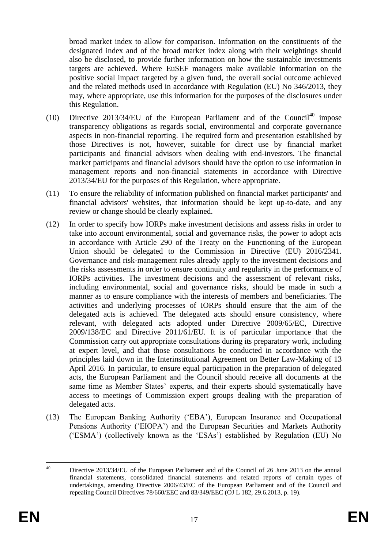broad market index to allow for comparison. Information on the constituents of the designated index and of the broad market index along with their weightings should also be disclosed, to provide further information on how the sustainable investments targets are achieved. Where EuSEF managers make available information on the positive social impact targeted by a given fund, the overall social outcome achieved and the related methods used in accordance with Regulation (EU) No 346/2013, they may, where appropriate, use this information for the purposes of the disclosures under this Regulation.

- (10) Directive  $2013/34/EU$  of the European Parliament and of the Council<sup>40</sup> impose transparency obligations as regards social, environmental and corporate governance aspects in non-financial reporting. The required form and presentation established by those Directives is not, however, suitable for direct use by financial market participants and financial advisors when dealing with end-investors. The financial market participants and financial advisors should have the option to use information in management reports and non-financial statements in accordance with Directive 2013/34/EU for the purposes of this Regulation, where appropriate.
- (11) To ensure the reliability of information published on financial market participants' and financial advisors' websites, that information should be kept up-to-date, and any review or change should be clearly explained.
- (12) In order to specify how IORPs make investment decisions and assess risks in order to take into account environmental, social and governance risks, the power to adopt acts in accordance with Article 290 of the Treaty on the Functioning of the European Union should be delegated to the Commission in Directive (EU) 2016/2341. Governance and risk-management rules already apply to the investment decisions and the risks assessments in order to ensure continuity and regularity in the performance of IORPs activities. The investment decisions and the assessment of relevant risks, including environmental, social and governance risks, should be made in such a manner as to ensure compliance with the interests of members and beneficiaries. The activities and underlying processes of IORPs should ensure that the aim of the delegated acts is achieved. The delegated acts should ensure consistency, where relevant, with delegated acts adopted under Directive 2009/65/EC, Directive 2009/138/EC and Directive 2011/61/EU. It is of particular importance that the Commission carry out appropriate consultations during its preparatory work, including at expert level, and that those consultations be conducted in accordance with the principles laid down in the Interinstitutional Agreement on Better Law-Making of 13 April 2016. In particular, to ensure equal participation in the preparation of delegated acts, the European Parliament and the Council should receive all documents at the same time as Member States' experts, and their experts should systematically have access to meetings of Commission expert groups dealing with the preparation of delegated acts.
- (13) The European Banking Authority ('EBA'), European Insurance and Occupational Pensions Authority ('EIOPA') and the European Securities and Markets Authority ('ESMA') (collectively known as the 'ESAs') established by Regulation (EU) No

 $40^{\circ}$ Directive 2013/34/EU of the European Parliament and of the Council of 26 June 2013 on the annual financial statements, consolidated financial statements and related reports of certain types of undertakings, amending Directive 2006/43/EC of the European Parliament and of the Council and repealing Council Directives 78/660/EEC and 83/349/EEC (OJ L 182, 29.6.2013, p. 19).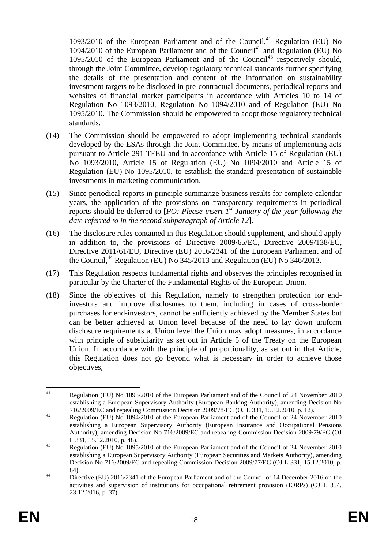$1093/2010$  of the European Parliament and of the Council.<sup>41</sup> Regulation (EU) No 1094/2010 of the European Parliament and of the Council<sup>42</sup> and Regulation (EU) No  $1095/2010$  of the European Parliament and of the Council<sup>43</sup> respectively should, through the Joint Committee, develop regulatory technical standards further specifying the details of the presentation and content of the information on sustainability investment targets to be disclosed in pre-contractual documents, periodical reports and websites of financial market participants in accordance with Articles 10 to 14 of Regulation No 1093/2010, Regulation No 1094/2010 and of Regulation (EU) No 1095/2010. The Commission should be empowered to adopt those regulatory technical standards.

- (14) The Commission should be empowered to adopt implementing technical standards developed by the ESAs through the Joint Committee, by means of implementing acts pursuant to Article 291 TFEU and in accordance with Article 15 of Regulation (EU) No 1093/2010, Article 15 of Regulation (EU) No 1094/2010 and Article 15 of Regulation (EU) No 1095/2010, to establish the standard presentation of sustainable investments in marketing communication.
- (15) Since periodical reports in principle summarize business results for complete calendar years, the application of the provisions on transparency requirements in periodical reports should be deferred to [*PO: Please insert 1st January of the year following the date referred to in the second subparagraph of Article 12*].
- (16) The disclosure rules contained in this Regulation should supplement, and should apply in addition to, the provisions of Directive 2009/65/EC, Directive 2009/138/EC, Directive 2011/61/EU, Directive (EU) 2016/2341 of the European Parliament and of the Council.<sup>44</sup> Regulation (EU) No  $345/2013$  and Regulation (EU) No  $346/2013$ .
- (17) This Regulation respects fundamental rights and observes the principles recognised in particular by the Charter of the Fundamental Rights of the European Union.
- (18) Since the objectives of this Regulation, namely to strengthen protection for endinvestors and improve disclosures to them, including in cases of cross-border purchases for end-investors, cannot be sufficiently achieved by the Member States but can be better achieved at Union level because of the need to lay down uniform disclosure requirements at Union level the Union may adopt measures, in accordance with principle of subsidiarity as set out in Article 5 of the Treaty on the European Union. In accordance with the principle of proportionality, as set out in that Article, this Regulation does not go beyond what is necessary in order to achieve those objectives,

<sup>41</sup> <sup>41</sup> Regulation (EU) No 1093/2010 of the European Parliament and of the Council of 24 November 2010 establishing a European Supervisory Authority (European Banking Authority), amending Decision No 716/2009/EC and repealing Commission Decision 2009/78/EC (OJ L 331, 15.12.2010, p. 12).

<sup>&</sup>lt;sup>42</sup> Regulation (EU) No 1094/2010 of the European Parliament and of the Council of 24 November 2010 establishing a European Supervisory Authority (European Insurance and Occupational Pensions Authority), amending Decision No 716/2009/EC and repealing Commission Decision 2009/79/EC (OJ L 331, 15.12.2010, p. 48).

<sup>43</sup> Regulation (EU) No 1095/2010 of the European Parliament and of the Council of 24 November 2010 establishing a European Supervisory Authority (European Securities and Markets Authority), amending Decision No 716/2009/EC and repealing Commission Decision 2009/77/EC (OJ L 331, 15.12.2010, p. 84).

<sup>&</sup>lt;sup>44</sup> Directive (EU) 2016/2341 of the European Parliament and of the Council of 14 December 2016 on the activities and supervision of institutions for occupational retirement provision (IORPs) (OJ L 354, 23.12.2016, p. 37).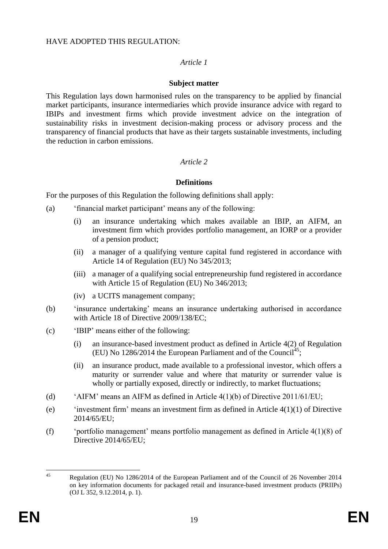### HAVE ADOPTED THIS REGULATION:

## *Article 1*

## **Subject matter**

This Regulation lays down harmonised rules on the transparency to be applied by financial market participants, insurance intermediaries which provide insurance advice with regard to IBIPs and investment firms which provide investment advice on the integration of sustainability risks in investment decision-making process or advisory process and the transparency of financial products that have as their targets sustainable investments, including the reduction in carbon emissions.

# *Article 2*

# **Definitions**

For the purposes of this Regulation the following definitions shall apply:

- (a) 'financial market participant' means any of the following:
	- (i) an insurance undertaking which makes available an IBIP, an AIFM, an investment firm which provides portfolio management, an IORP or a provider of a pension product;
	- (ii) a manager of a qualifying venture capital fund registered in accordance with Article 14 of Regulation (EU) No 345/2013;
	- (iii) a manager of a qualifying social entrepreneurship fund registered in accordance with Article 15 of Regulation (EU) No  $346/2013$ ;
	- (iv) a UCITS management company;
- (b) 'insurance undertaking' means an insurance undertaking authorised in accordance with Article 18 of Directive 2009/138/EC;
- (c) 'IBIP' means either of the following:
	- (i) an insurance-based investment product as defined in Article 4(2) of Regulation (EU) No 1286/2014 the European Parliament and of the Council<sup>45</sup>;
	- (ii) an insurance product, made available to a professional investor, which offers a maturity or surrender value and where that maturity or surrender value is wholly or partially exposed, directly or indirectly, to market fluctuations;
- (d) 'AIFM' means an AIFM as defined in Article 4(1)(b) of Directive 2011/61/EU;
- (e)  $\qquad$  'investment firm' means an investment firm as defined in Article 4(1)(1) of Directive 2014/65/EU;
- (f) 'portfolio management' means portfolio management as defined in Article 4(1)(8) of Directive 2014/65/EU:

 $\overline{45}$ <sup>45</sup> Regulation (EU) No 1286/2014 of the European Parliament and of the Council of 26 November 2014 on key information documents for packaged retail and insurance-based investment products (PRIIPs) (OJ L 352, 9.12.2014, p. 1).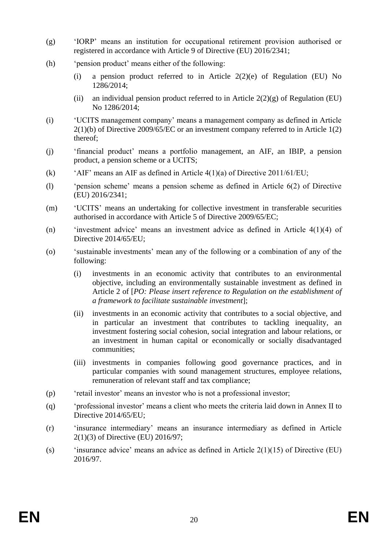- (g) 'IORP' means an institution for occupational retirement provision authorised or registered in accordance with Article 9 of Directive (EU) 2016/2341;
- (h) 'pension product' means either of the following:
	- (i) a pension product referred to in Article  $2(2)(e)$  of Regulation (EU) No 1286/2014;
	- (ii) an individual pension product referred to in Article  $2(2)(g)$  of Regulation (EU) No 1286/2014;
- (i) 'UCITS management company' means a management company as defined in Article 2(1)(b) of Directive 2009/65/EC or an investment company referred to in Article 1(2) thereof;
- (j) 'financial product' means a portfolio management, an AIF, an IBIP, a pension product, a pension scheme or a UCITS;
- (k) 'AIF' means an AIF as defined in Article 4(1)(a) of Directive 2011/61/EU;
- (l) 'pension scheme' means a pension scheme as defined in Article 6(2) of Directive (EU) 2016/2341;
- (m) 'UCITS' means an undertaking for collective investment in transferable securities authorised in accordance with Article 5 of Directive 2009/65/EC;
- (n) 'investment advice' means an investment advice as defined in Article 4(1)(4) of Directive 2014/65/EU;
- (o) 'sustainable investments' mean any of the following or a combination of any of the following:
	- (i) investments in an economic activity that contributes to an environmental objective, including an environmentally sustainable investment as defined in Article 2 of [*PO: Please insert reference to Regulation on the establishment of a framework to facilitate sustainable investment*];
	- (ii) investments in an economic activity that contributes to a social objective, and in particular an investment that contributes to tackling inequality, an investment fostering social cohesion, social integration and labour relations, or an investment in human capital or economically or socially disadvantaged communities;
	- (iii) investments in companies following good governance practices, and in particular companies with sound management structures, employee relations, remuneration of relevant staff and tax compliance;
- (p) 'retail investor' means an investor who is not a professional investor;
- (q) 'professional investor' means a client who meets the criteria laid down in Annex II to Directive 2014/65/EU;
- (r) 'insurance intermediary' means an insurance intermediary as defined in Article 2(1)(3) of Directive (EU) 2016/97;
- (s) 'insurance advice' means an advice as defined in Article  $2(1)(15)$  of Directive (EU) 2016/97.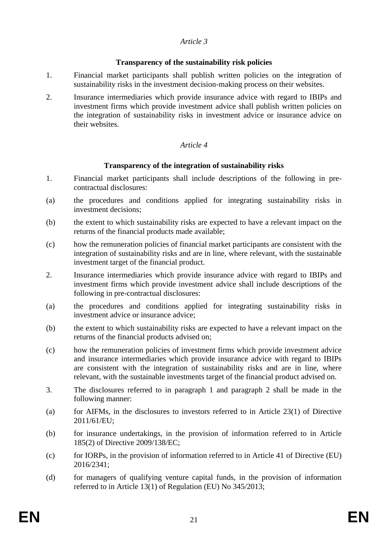## *Article 3*

## **Transparency of the sustainability risk policies**

- 1. Financial market participants shall publish written policies on the integration of sustainability risks in the investment decision-making process on their websites.
- 2. Insurance intermediaries which provide insurance advice with regard to IBIPs and investment firms which provide investment advice shall publish written policies on the integration of sustainability risks in investment advice or insurance advice on their websites.

# *Article 4*

## **Transparency of the integration of sustainability risks**

- 1. Financial market participants shall include descriptions of the following in precontractual disclosures:
- (a) the procedures and conditions applied for integrating sustainability risks in investment decisions;
- (b) the extent to which sustainability risks are expected to have a relevant impact on the returns of the financial products made available;
- (c) how the remuneration policies of financial market participants are consistent with the integration of sustainability risks and are in line, where relevant, with the sustainable investment target of the financial product.
- 2. Insurance intermediaries which provide insurance advice with regard to IBIPs and investment firms which provide investment advice shall include descriptions of the following in pre-contractual disclosures:
- (a) the procedures and conditions applied for integrating sustainability risks in investment advice or insurance advice;
- (b) the extent to which sustainability risks are expected to have a relevant impact on the returns of the financial products advised on;
- (c) how the remuneration policies of investment firms which provide investment advice and insurance intermediaries which provide insurance advice with regard to IBIPs are consistent with the integration of sustainability risks and are in line, where relevant, with the sustainable investments target of the financial product advised on.
- 3. The disclosures referred to in paragraph 1 and paragraph 2 shall be made in the following manner:
- (a) for AIFMs, in the disclosures to investors referred to in Article 23(1) of Directive 2011/61/EU;
- (b) for insurance undertakings, in the provision of information referred to in Article 185(2) of Directive 2009/138/EC;
- (c) for IORPs, in the provision of information referred to in Article 41 of Directive (EU) 2016/2341;
- (d) for managers of qualifying venture capital funds, in the provision of information referred to in Article 13(1) of Regulation (EU) No 345/2013;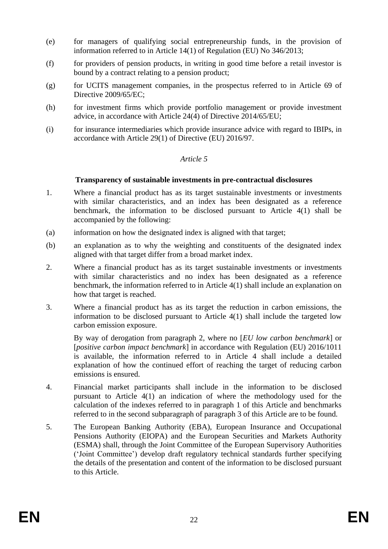- (e) for managers of qualifying social entrepreneurship funds, in the provision of information referred to in Article 14(1) of Regulation (EU) No 346/2013;
- (f) for providers of pension products, in writing in good time before a retail investor is bound by a contract relating to a pension product;
- (g) for UCITS management companies, in the prospectus referred to in Article 69 of Directive 2009/65/EC;
- (h) for investment firms which provide portfolio management or provide investment advice, in accordance with Article 24(4) of Directive 2014/65/EU;
- (i) for insurance intermediaries which provide insurance advice with regard to IBIPs, in accordance with Article 29(1) of Directive (EU) 2016/97.

#### *Article 5*

#### **Transparency of sustainable investments in pre-contractual disclosures**

- 1. Where a financial product has as its target sustainable investments or investments with similar characteristics, and an index has been designated as a reference benchmark, the information to be disclosed pursuant to Article 4(1) shall be accompanied by the following:
- (a) information on how the designated index is aligned with that target;
- (b) an explanation as to why the weighting and constituents of the designated index aligned with that target differ from a broad market index.
- 2. Where a financial product has as its target sustainable investments or investments with similar characteristics and no index has been designated as a reference benchmark, the information referred to in Article 4(1) shall include an explanation on how that target is reached.
- 3. Where a financial product has as its target the reduction in carbon emissions, the information to be disclosed pursuant to Article 4(1) shall include the targeted low carbon emission exposure.

By way of derogation from paragraph 2, where no [*EU low carbon benchmark*] or [*positive carbon impact benchmark*] in accordance with Regulation (EU) 2016/1011 is available, the information referred to in Article 4 shall include a detailed explanation of how the continued effort of reaching the target of reducing carbon emissions is ensured.

- 4. Financial market participants shall include in the information to be disclosed pursuant to Article 4(1) an indication of where the methodology used for the calculation of the indexes referred to in paragraph 1 of this Article and benchmarks referred to in the second subparagraph of paragraph 3 of this Article are to be found.
- 5. The European Banking Authority (EBA), European Insurance and Occupational Pensions Authority (EIOPA) and the European Securities and Markets Authority (ESMA) shall, through the Joint Committee of the European Supervisory Authorities ('Joint Committee') develop draft regulatory technical standards further specifying the details of the presentation and content of the information to be disclosed pursuant to this Article.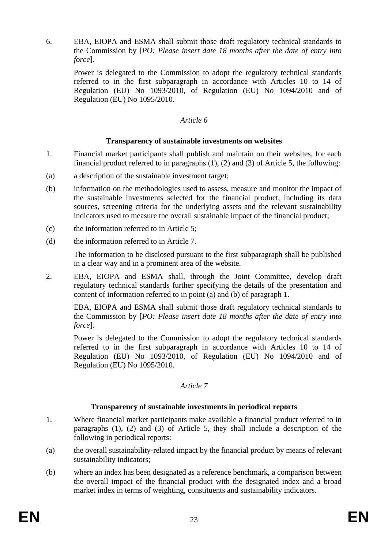6. EBA, EIOPA and ESMA shall submit those draft regulatory technical standards to the Commission by [*PO: Please insert date 18 months after the date of entry into force*].

Power is delegated to the Commission to adopt the regulatory technical standards referred to in the first subparagraph in accordance with Articles 10 to 14 of Regulation (EU) No 1093/2010, of Regulation (EU) No 1094/2010 and of Regulation (EU) No 1095/2010.

### *Article 6*

## **Transparency of sustainable investments on websites**

- 1. Financial market participants shall publish and maintain on their websites, for each financial product referred to in paragraphs (1), (2) and (3) of Article 5, the following:
- (a) a description of the sustainable investment target;
- (b) information on the methodologies used to assess, measure and monitor the impact of the sustainable investments selected for the financial product, including its data sources, screening criteria for the underlying assets and the relevant sustainability indicators used to measure the overall sustainable impact of the financial product;
- (c) the information referred to in Article 5;
- (d) the information referred to in Article 7.

The information to be disclosed pursuant to the first subparagraph shall be published in a clear way and in a prominent area of the website.

2. EBA, EIOPA and ESMA shall, through the Joint Committee, develop draft regulatory technical standards further specifying the details of the presentation and content of information referred to in point (a) and (b) of paragraph 1.

EBA, EIOPA and ESMA shall submit those draft regulatory technical standards to the Commission by [*PO: Please insert date 18 months after the date of entry into force*].

Power is delegated to the Commission to adopt the regulatory technical standards referred to in the first subparagraph in accordance with Articles 10 to 14 of Regulation (EU) No 1093/2010, of Regulation (EU) No 1094/2010 and of Regulation (EU) No 1095/2010.

#### *Article 7*

#### **Transparency of sustainable investments in periodical reports**

- 1. Where financial market participants make available a financial product referred to in paragraphs (1), (2) and (3) of Article 5, they shall include a description of the following in periodical reports:
- (a) the overall sustainability-related impact by the financial product by means of relevant sustainability indicators;
- (b) where an index has been designated as a reference benchmark, a comparison between the overall impact of the financial product with the designated index and a broad market index in terms of weighting, constituents and sustainability indicators.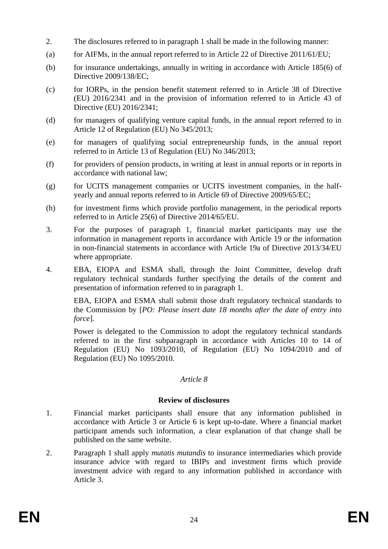- 2. The disclosures referred to in paragraph 1 shall be made in the following manner:
- (a) for AIFMs, in the annual report referred to in Article 22 of Directive  $2011/61/EU$ ;
- (b) for insurance undertakings, annually in writing in accordance with Article 185(6) of Directive 2009/138/EC;
- (c) for IORPs, in the pension benefit statement referred to in Article 38 of Directive (EU) 2016/2341 and in the provision of information referred to in Article 43 of Directive (EU) 2016/2341;
- (d) for managers of qualifying venture capital funds, in the annual report referred to in Article 12 of Regulation (EU) No 345/2013;
- (e) for managers of qualifying social entrepreneurship funds, in the annual report referred to in Article 13 of Regulation (EU) No 346/2013;
- (f) for providers of pension products, in writing at least in annual reports or in reports in accordance with national law;
- (g) for UCITS management companies or UCITS investment companies, in the halfyearly and annual reports referred to in Article 69 of Directive 2009/65/EC;
- (h) for investment firms which provide portfolio management, in the periodical reports referred to in Article 25(6) of Directive 2014/65/EU.
- 3. For the purposes of paragraph 1, financial market participants may use the information in management reports in accordance with Article 19 or the information in non-financial statements in accordance with Article 19a of Directive 2013/34/EU where appropriate.
- 4. EBA, EIOPA and ESMA shall, through the Joint Committee, develop draft regulatory technical standards further specifying the details of the content and presentation of information referred to in paragraph 1.

EBA, EIOPA and ESMA shall submit those draft regulatory technical standards to the Commission by [*PO: Please insert date 18 months after the date of entry into force*].

Power is delegated to the Commission to adopt the regulatory technical standards referred to in the first subparagraph in accordance with Articles 10 to 14 of Regulation (EU) No 1093/2010, of Regulation (EU) No 1094/2010 and of Regulation (EU) No 1095/2010.

#### *Article 8*

#### **Review of disclosures**

- 1. Financial market participants shall ensure that any information published in accordance with Article 3 or Article 6 is kept up-to-date. Where a financial market participant amends such information, a clear explanation of that change shall be published on the same website.
- 2. Paragraph 1 shall apply *mutatis mutandis* to insurance intermediaries which provide insurance advice with regard to IBIPs and investment firms which provide investment advice with regard to any information published in accordance with Article 3.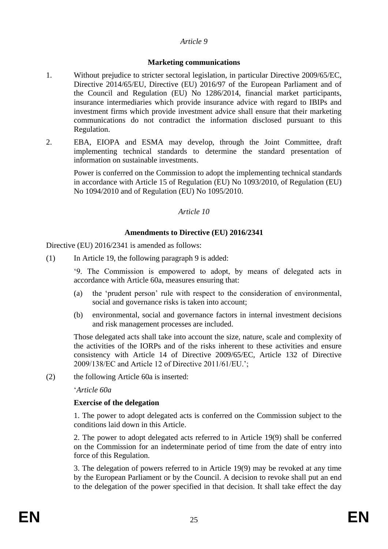#### *Article 9*

#### **Marketing communications**

- 1. Without prejudice to stricter sectoral legislation, in particular Directive 2009/65/EC, Directive 2014/65/EU, Directive (EU) 2016/97 of the European Parliament and of the Council and Regulation (EU) No 1286/2014, financial market participants, insurance intermediaries which provide insurance advice with regard to IBIPs and investment firms which provide investment advice shall ensure that their marketing communications do not contradict the information disclosed pursuant to this Regulation.
- 2. EBA, EIOPA and ESMA may develop, through the Joint Committee, draft implementing technical standards to determine the standard presentation of information on sustainable investments.

Power is conferred on the Commission to adopt the implementing technical standards in accordance with Article 15 of Regulation (EU) No 1093/2010, of Regulation (EU) No 1094/2010 and of Regulation (EU) No 1095/2010.

#### *Article 10*

#### **Amendments to Directive (EU) 2016/2341**

Directive (EU) 2016/2341 is amended as follows:

(1) In Article 19, the following paragraph 9 is added:

'9. The Commission is empowered to adopt, by means of delegated acts in accordance with Article 60a, measures ensuring that:

- (a) the 'prudent person' rule with respect to the consideration of environmental, social and governance risks is taken into account;
- (b) environmental, social and governance factors in internal investment decisions and risk management processes are included.

Those delegated acts shall take into account the size, nature, scale and complexity of the activities of the IORPs and of the risks inherent to these activities and ensure consistency with Article 14 of Directive 2009/65/EC, Article 132 of Directive 2009/138/EC and Article 12 of Directive 2011/61/EU.';

(2) the following Article 60a is inserted:

'*Article 60a*

#### **Exercise of the delegation**

1. The power to adopt delegated acts is conferred on the Commission subject to the conditions laid down in this Article.

2. The power to adopt delegated acts referred to in Article 19(9) shall be conferred on the Commission for an indeterminate period of time from the date of entry into force of this Regulation.

3. The delegation of powers referred to in Article 19(9) may be revoked at any time by the European Parliament or by the Council. A decision to revoke shall put an end to the delegation of the power specified in that decision. It shall take effect the day